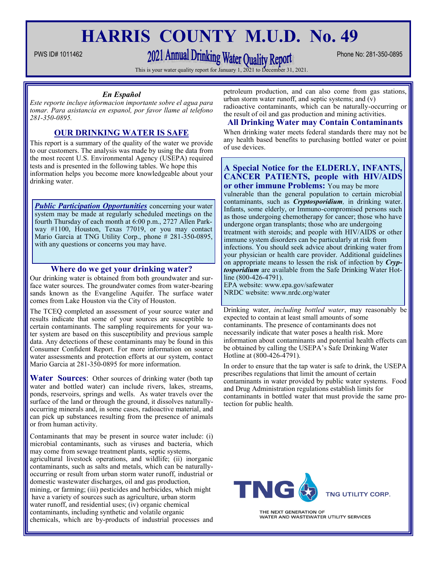# **HARRIS COUNTY M.U.D. No. 49**

# PWS ID# 1011462 2021 Annual Drinking Water Quality Report Phone No: 281-350-0895

This is your water quality report for January 1, 2021 to December 31, 2021.

### *En Español*

*Este reporte incluye informacion importante sobre el agua para tomar. Para asistancia en espanol, por favor llame al telefono 281-350-0895.*

# **OUR DRINKING WATER IS SAFE**

This report is a summary of the quality of the water we provide to our customers. The analysis was made by using the data from the most recent U.S. Environmental Agency (USEPA) required tests and is presented in the following tables. We hope this information helps you become more knowledgeable about your drinking water.

**Public Participation Opportunities** concerning your water system may be made at regularly scheduled meetings on the fourth Thursday of each month at 6:00 p.m., 2727 Allen Parkway #1100, Houston, Texas 77019, or you may contact Mario Garcia at TNG Utility Corp., phone # 281-350-0895, with any questions or concerns you may have.

#### **Where do we get your drinking water?**

Our drinking water is obtained from both groundwater and surface water sources. The groundwater comes from water-bearing sands known as the Evangeline Aquifer. The surface water comes from Lake Houston via the City of Houston.

The TCEQ completed an assessment of your source water and results indicate that some of your sources are susceptible to certain contaminants. The sampling requirements for your water system are based on this susceptibility and previous sample data. Any detections of these contaminants may be found in this Consumer Confident Report. For more information on source water assessments and protection efforts at our system, contact Mario Garcia at 281-350-0895 for more information.

**Water Sources:** Other sources of drinking water (both tap water and bottled water) can include rivers, lakes, streams, ponds, reservoirs, springs and wells. As water travels over the surface of the land or through the ground, it dissolves naturallyoccurring minerals and, in some cases, radioactive material, and can pick up substances resulting from the presence of animals or from human activity.

Contaminants that may be present in source water include: (i) microbial contaminants, such as viruses and bacteria, which may come from sewage treatment plants, septic systems, agricultural livestock operations, and wildlife; (ii) inorganic contaminants, such as salts and metals, which can be naturallyoccurring or result from urban storm water runoff, industrial or domestic wastewater discharges, oil and gas production, mining, or farming; (iii) pesticides and herbicides, which might have a variety of sources such as agriculture, urban storm water runoff, and residential uses;  $(iv)$  organic chemical contaminants, including synthetic and volatile organic chemicals, which are by-products of industrial processes and petroleum production, and can also come from gas stations, urban storm water runoff, and septic systems; and (v)

radioactive contaminants, which can be naturally-occurring or the result of oil and gas production and mining activities.

# **All Drinking Water may Contain Contaminants**

When drinking water meets federal standards there may not be any health based benefits to purchasing bottled water or point of use devices.

## **A Special Notice for the ELDERLY, INFANTS, CANCER PATIENTS, people with HIV/AIDS or other immune Problems:** You may be more

vulnerable than the general population to certain microbial contaminants, such as *Cryptosporidium,* in drinking water. Infants, some elderly, or Immuno-compromised persons such as those undergoing chemotherapy for cancer; those who have undergone organ transplants; those who are undergoing treatment with steroids; and people with HIV/AIDS or other immune system disorders can be particularly at risk from infections. You should seek advice about drinking water from your physician or health care provider. Additional guidelines on appropriate means to lessen the risk of infection by *Cryptosporidium* are available from the Safe Drinking Water Hotline (800-426-4791).

EPA website: www.epa.gov/safewater NRDC website: www.nrdc.org/water

Drinking water, *including bottled water*, may reasonably be expected to contain at least small amounts of some contaminants. The presence of contaminants does not necessarily indicate that water poses a health risk. More information about contaminants and potential health effects can be obtained by calling the USEPA's Safe Drinking Water Hotline at (800-426-4791).

In order to ensure that the tap water is safe to drink, the USEPA prescribes regulations that limit the amount of certain contaminants in water provided by public water systems. Food and Drug Administration regulations establish limits for contaminants in bottled water that must provide the same protection for public health.



THE NEXT GENERATION OF WATER AND WASTEWATER UTILITY SERVICES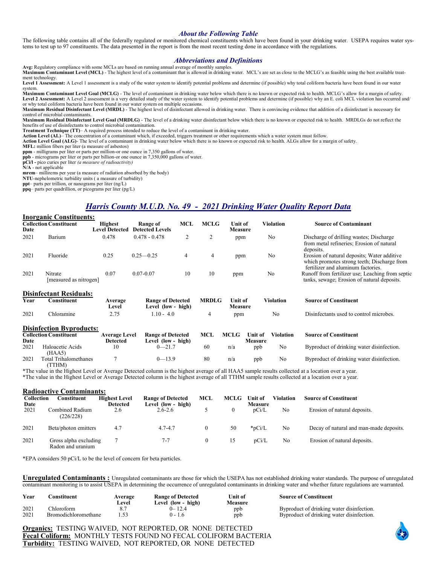#### *About the Following Table*

The following table contains all of the federally regulated or monitored chemical constituents which have been found in your drinking water. USEPA requires water systems to test up to 97 constituents. The data presented in the report is from the most recent testing done in accordance with the regulations.

#### *Abbreviations and Definitions*

**Avg:** Regulatory compliance with some MCLs are based on running annual average of monthly samples. **Maximum Contaminant Level (MCL)** - The highest level of a contaminant that is allowed in drinking water. MCL's are set as close to the MCLG's as feasible using the best available treatment technology.

Level 1 Assessment: A Level 1 assessment is a study of the water system to identify potential problems and determine (if possible) why total coliform bacteria have been found in our water system.

**Maximum Contaminant Level Goal (MCLG)** - The level of contaminant in drinking water below which there is no known or expected risk to health. MCLG's allow for a margin of safety. Level 2 Assessment: A Level 2 assessment is a very detailed study of the water system to identify potential problems and determine (if possible) why an E. coli MCL violation has occurred and/<br>or why total coliform bacteria

Maximum Residual Disinfectant Level (MRDL) - The highest level of disinfectant allowed in drinking water. There is convincing evidence that addition of a disinfectant is necessary for control of microbial contaminants.

**Maximum Residual Disinfectant Level Goal (MRDLG)** - The level of a drinking water disinfectant below which there is no known or expected risk to health. MRDLGs do not reflect the benefits of use of disinfectants to control microbial contamination.

**Treatment Technique (TT)**– A required process intended to reduce the level of a contaminant in drinking water.

Action Level (AL)– The concentration of a contaminant which, if exceeded, triggers treatment or other requirements which a water system must follow.<br>Action Level Goal (ALG)- The level of a contaminant in drinking water bel

**MFL:** million fibers per liter (a measure of asbestos)

**ppm** - milligrams per liter or parts per million-or one ounce in 7,350 gallons of water. **ppb** - micrograms per liter or parts per billion-or one ounce in 7,350,000 gallons of water.

**pCi/l -** pico curies per liter *(a measure of radioactivity)* 

**N/A** - not applicable

**mrem**– millirems per year (a measure of radiation absorbed by the body)

**NTU**-nephelometric turbidity units ( a measure of turbidity)

**ppt**– parts per trillion, or nanograms per liter (ng/L)

**ppq**– parts per quadrillion, or picograms per liter (pg/L)

# *Harris County M.U.D. No. 49 - 2021 Drinking Water Quality Report Data*

|      | <b>Inorganic Constituents:</b><br><b>Collection Constituent</b><br><b>MCLG</b><br>MCL<br>Violation<br>Unit of<br><b>Source of Contaminant</b> |                                         |                                    |    |    |         |    |                                                                                                                                  |  |  |  |  |  |
|------|-----------------------------------------------------------------------------------------------------------------------------------------------|-----------------------------------------|------------------------------------|----|----|---------|----|----------------------------------------------------------------------------------------------------------------------------------|--|--|--|--|--|
| Date |                                                                                                                                               | <b>Highest</b><br><b>Level Detected</b> | Range of<br><b>Detected Levels</b> |    |    | Measure |    |                                                                                                                                  |  |  |  |  |  |
| 2021 | Barium                                                                                                                                        | 0.478                                   | $0.478 - 0.478$                    |    | 2  | ppm     | No | Discharge of drilling wastes; Discharge<br>from metal refineries; Erosion of natural<br>deposits.                                |  |  |  |  |  |
| 2021 | Fluoride                                                                                                                                      | 0.25                                    | $0.25 - 0.25$                      | 4  | 4  | ppm     | No | Erosion of natural deposits; Water additive<br>which promotes strong teeth; Discharge from<br>fertilizer and aluminum factories. |  |  |  |  |  |
| 2021 | Nitrate<br>[measured as nitrogen]                                                                                                             | 0.07                                    | $0.07 - 0.07$                      | 10 | 10 | ppm     | No | Runoff from fertilizer use; Leaching from septic<br>tanks, sewage; Erosion of natural deposits.                                  |  |  |  |  |  |
|      | <b>Disinfectant Residuals:</b>                                                                                                                |                                         |                                    |    |    |         |    |                                                                                                                                  |  |  |  |  |  |

| Year | donstituent                                                                                                                                                                                                                                                                                                                        | Average<br>Level | <b>Range of Detected</b><br>Level (low - high) | <b>MRDLG</b> | Unit of<br>Measure | Violation | <b>Source of Constituent</b>            |
|------|------------------------------------------------------------------------------------------------------------------------------------------------------------------------------------------------------------------------------------------------------------------------------------------------------------------------------------|------------------|------------------------------------------------|--------------|--------------------|-----------|-----------------------------------------|
| 2021 | Chloramine                                                                                                                                                                                                                                                                                                                         | 2.75             | $1.10 - 4.0$                                   |              | ppm                | No        | Disinfectants used to control microbes. |
|      | $\mathbf{D}$ $\mathbf{D}$ $\mathbf{D}$ $\mathbf{D}$ $\mathbf{D}$ $\mathbf{D}$ $\mathbf{D}$ $\mathbf{D}$ $\mathbf{D}$ $\mathbf{D}$ $\mathbf{D}$ $\mathbf{D}$ $\mathbf{D}$ $\mathbf{D}$ $\mathbf{D}$ $\mathbf{D}$ $\mathbf{D}$ $\mathbf{D}$ $\mathbf{D}$ $\mathbf{D}$ $\mathbf{D}$ $\mathbf{D}$ $\mathbf{D}$ $\mathbf{D}$ $\mathbf{$ |                  |                                                |              |                    |           |                                         |

| <b>Disinfection Byproducts:</b> |
|---------------------------------|
|                                 |

|                        | $P$ remarks the $P$ , $P$ requested.  |                      |                          |     |      |                |                  |                                           |
|------------------------|---------------------------------------|----------------------|--------------------------|-----|------|----------------|------------------|-------------------------------------------|
| Collection Constituent |                                       | <b>Average Level</b> | <b>Range of Detected</b> | MCL | MCLG | Unit of        | <b>Violation</b> | <b>Source of Constituent</b>              |
| Date                   |                                       | Detected             | Level (low - high)       |     |      | <b>Measure</b> |                  |                                           |
| 2021                   | Haloacetic Acids<br>(HAA5)            | 10                   | $0 - 21.7$               | 60  | n/a  | ppb            | No               | Byproduct of drinking water disinfection. |
| 2021                   | <b>Total Trihalomethanes</b><br>TTHM) |                      | $0 - 13.9$               | 80  | n/a  | ppb            | No               | Byproduct of drinking water disinfection. |

\*The value in the Highest Level or Average Detected column is the highest average of all HAA5 sample results collected at a location over a year. \*The value in the Highest Level or Average Detected column is the highest average of all TTHM sample results collected at a location over a year.

|                    | <b>Radioactive Contaminants:</b>           |                                         |                                                |            |             |                                  |           |                                         |
|--------------------|--------------------------------------------|-----------------------------------------|------------------------------------------------|------------|-------------|----------------------------------|-----------|-----------------------------------------|
| Collection<br>Date | Constituent                                | <b>Highest Level</b><br><b>Detected</b> | <b>Range of Detected</b><br>Level (low - high) | <b>MCL</b> | <b>MCLG</b> | <b>Unit of</b><br><b>Measure</b> | Violation | <b>Source of Constituent</b>            |
| 2021               | Combined Radium<br>(226/228)               | 2.6                                     | $2.6 - 2.6$                                    |            |             | pCi/L                            | No        | Erosion of natural deposits.            |
| 2021               | Beta/photon emitters                       | 4.7                                     | $4.7 - 4.7$                                    | $\bf{0}$   | 50          | $*$ pCi/L                        | No        | Decay of natural and man-made deposits. |
| 2021               | Gross alpha excluding<br>Radon and uranium |                                         | $7 - 7$                                        |            | 15          | pCi/L                            | No        | Erosion of natural deposits.            |

\*EPA considers 50 pCi/L to be the level of concern for beta particles.

**Unregulated Contaminants :** Unregulated contaminants are those for which the USEPA has not established drinking water standards. The purpose of unregulated contaminant monitoring is to assist USEPA in determining the occurrence of unregulated contaminants in drinking water and whether future regulations are warranted.

| Year | `onstituent_                | Average<br>Level | <b>Range of Detected</b><br>Level (low - high) | ∐nit of<br>Measure | <b>Source of Constituent</b>              |
|------|-----------------------------|------------------|------------------------------------------------|--------------------|-------------------------------------------|
| 2021 | hloroform.                  |                  | J 12.4                                         | ppb                | Byproduct of drinking water disinfection. |
| 2021 | <b>Bromodichloromethane</b> |                  | 9 - 1.6                                        | ppb                | Byproduct of drinking water disinfection. |

**Organics:** TESTING WAIVED, NOT REPORTED, OR NONE DETECTED **Fecal Coliform:** MONTHLY TESTS FOUND NO FECAL COLIFORM BACTERIA **Turbidity:** TESTING WAIVED, NOT REPORTED, OR NONE DETECTED

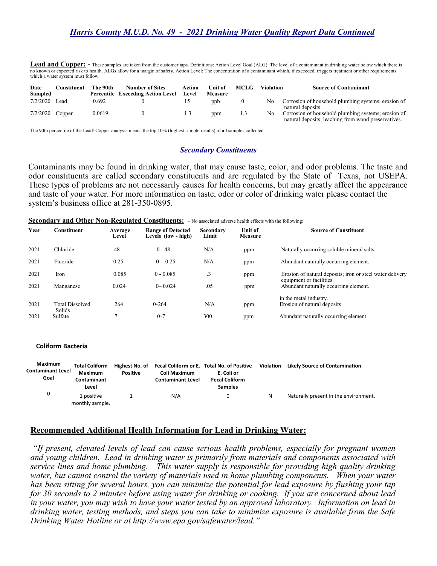# *Harris County M.U.D. No. 49 - 2021 Drinking Water Quality Report Data Continued*

**Lead and Copper:** - These samples are taken from the customer taps. Definitions: Action Level Goal (ALG): The level of a contaminant in drinking water below which there is no known or expected risk to health. ALGs allow for a margin of safety. Action Level: The concentration of a contaminant which, if exceeded, triggers treatment or other requirements which a water system must follow.

| Date<br>Sampled   | donstituent | The 90th | <b>Number of Sites</b><br><b>Percentile Exceeding Action Level</b> | Action<br>Level | Unit of<br>Measure | <b>MCLG</b> | Violation | <b>Source of Contaminant</b>                                                                               |
|-------------------|-------------|----------|--------------------------------------------------------------------|-----------------|--------------------|-------------|-----------|------------------------------------------------------------------------------------------------------------|
| 7/2/2020          | Lead        | 0.692    |                                                                    |                 | ppb                |             | No        | Corrosion of household plumbing systems; erosion of<br>natural deposits.                                   |
| $7/2/2020$ Copper |             | 0.0619   |                                                                    | 1.3             | ppm                | 1.3         | No.       | Corrosion of household plumbing systems; erosion of<br>natural deposits; leaching from wood preservatives. |

The 90th percentile of the Lead/ Copper analysis means the top 10% (highest sample results) of all samples collected.

#### *Secondary Constituents*

Contaminants may be found in drinking water, that may cause taste, color, and odor problems. The taste and odor constituents are called secondary constituents and are regulated by the State of Texas, not USEPA. These types of problems are not necessarily causes for health concerns, but may greatly affect the appearance and taste of your water. For more information on taste, odor or color of drinking water please contact the system's business office at 281-350-0895.

**Secondary and Other Non-Regulated Constituents:** *-* No associated adverse health effects with the following:

| Year | Constituent                      | Average<br>Level | <b>Range of Detected</b><br>Levels (low - high) | Secondary<br>Limit | <b>Unit of</b><br><b>Measure</b> | <b>Source of Constituent</b>                                                          |
|------|----------------------------------|------------------|-------------------------------------------------|--------------------|----------------------------------|---------------------------------------------------------------------------------------|
| 2021 | Chloride                         | 48               | $0 - 48$                                        | N/A                | ppm                              | Naturally occurring soluble mineral salts.                                            |
| 2021 | Fluoride                         | 0.25             | $0 - 0.25$                                      | N/A                | ppm                              | Abundant naturally occurring element.                                                 |
| 2021 | Iron                             | 0.085            | $0 - 0.085$                                     | $\cdot$ 3          | ppm                              | Erosion of natural deposits; iron or steel water delivery<br>equipment or facilities. |
| 2021 | Manganese                        | 0.024            | $0 - 0.024$                                     | .05                | ppm                              | Abundant naturally occurring element.                                                 |
| 2021 | <b>Total Dissolved</b><br>Solids | 264              | $0 - 264$                                       | N/A                | ppm                              | in the metal industry.<br>Erosion of natural deposits                                 |
| 2021 | Sulfate                          |                  | $0 - 7$                                         | 300                | ppm                              | Abundant naturally occurring element.                                                 |

#### **Coliform Bacteria**

| <b>Maximum</b><br><b>Contaminant Level</b><br>Goal | Highest No. of<br><b>Total Coliform</b><br>Maximum<br><b>Positive</b><br>Contaminant<br>Level |  | Coli Maximum<br><b>Contaminant Level</b> | Fecal Coliform or E. Total No. of Positive<br>E. Coli or<br><b>Fecal Coliform</b><br><b>Samples</b> | <b>Violation</b> | <b>Likely Source of Contamination</b> |  |
|----------------------------------------------------|-----------------------------------------------------------------------------------------------|--|------------------------------------------|-----------------------------------------------------------------------------------------------------|------------------|---------------------------------------|--|
|                                                    | 1 positive<br>monthly sample.                                                                 |  | N/A                                      |                                                                                                     | N                | Naturally present in the environment. |  |

# **Recommended Additional Health Information for Lead in Drinking Water:**

*"If present, elevated levels of lead can cause serious health problems, especially for pregnant women and young children. Lead in drinking water is primarily from materials and components associated with service lines and home plumbing. This water supply is responsible for providing high quality drinking*  water, but cannot control the variety of materials used in home plumbing components. When your water *has been sitting for several hours, you can minimize the potential for lead exposure by flushing your tap for 30 seconds to 2 minutes before using water for drinking or cooking. If you are concerned about lead in your water, you may wish to have your water tested by an approved laboratory. Information on lead in drinking water, testing methods, and steps you can take to minimize exposure is available from the Safe Drinking Water Hotline or at http://www.epa.gov/safewater/lead."*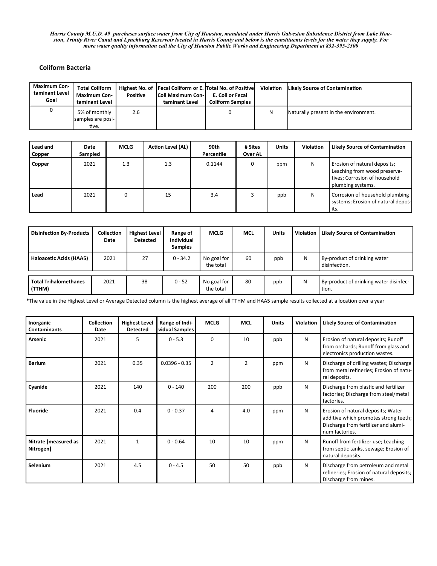*Harris County M.U.D. 49 purchases surface water from City of Houston, mandated under Harris Galveston Subsidence District from Lake Houston, Trinity River Canal and Lynchburg Reservoir located in Harris County and below is the constituents levels for the water they supply. For more water quality information call the City of Houston Public Works and Engineering Department at 832-395-2500*

#### **Coliform Bacteria**

| <b>Maximum Con-</b><br>taminant Level<br>Goal | <b>Total Coliform</b><br><b>Maximum Con-</b><br>taminant Level | <b>Positive</b> | Highest No. of   Fecal Coliform or E. Total No. of Positive<br><b>Coli Maximum Con-I</b><br>taminant Level | E. Coli or Fecal<br><b>Coliform Samples</b> | Violation | <b>Likely Source of Contamination</b> |  |
|-----------------------------------------------|----------------------------------------------------------------|-----------------|------------------------------------------------------------------------------------------------------------|---------------------------------------------|-----------|---------------------------------------|--|
| 0                                             | 5% of monthly<br>samples are posi-<br>tive.                    | 2.6             |                                                                                                            |                                             |           | Naturally present in the environment. |  |

| Lead and<br>Copper | Date<br>Sampled | <b>MCLG</b> | Action Level (AL) | 90th<br>Percentile | # Sites<br>Over AL | <b>Units</b> | <b>Violation</b> | <b>Likely Source of Contamination</b>                                                                              |
|--------------------|-----------------|-------------|-------------------|--------------------|--------------------|--------------|------------------|--------------------------------------------------------------------------------------------------------------------|
| Copper             | 2021            | 1.3         | 1.3               | 0.1144             | 0                  | ppm          | N                | Erosion of natural deposits;<br>Leaching from wood preserva-<br>tives; Corrosion of household<br>plumbing systems. |
| Lead               | 2021            |             | 15                | 3.4                |                    | ppb          | N                | Corrosion of household plumbing<br>systems; Erosion of natural depos-<br>its.                                      |

| <b>Disinfection By-Products</b>        | Collection<br>Date | <b>Highest Level</b><br><b>Detected</b> | Range of<br><b>Individual</b><br><b>Samples</b> | <b>MCLG</b>              | <b>MCL</b> | <b>Units</b> | <b>Violation</b> | <b>Likely Source of Contamination</b>           |
|----------------------------------------|--------------------|-----------------------------------------|-------------------------------------------------|--------------------------|------------|--------------|------------------|-------------------------------------------------|
| Haloacetic Acids (HAA5)                | 2021               | 27                                      | $0 - 34.2$                                      | No goal for<br>the total | 60         | ppb          | N                | By-product of drinking water<br>disinfection.   |
| <b>Total Trihalomethanes</b><br>(TTHM) | 2021               | 38                                      | $0 - 52$                                        | No goal for<br>the total | 80         | ppb          | N                | By-product of drinking water disinfec-<br>tion. |

\*The value in the Highest Level or Average Detected column is the highest average of all TTHM and HAA5 sample results collected at a location over a year

| Inorganic<br><b>Contaminants</b>  | Collection<br>Date | <b>Highest Level</b><br><b>Detected</b> | Range of Indi-<br>vidual Samples | <b>MCLG</b>    | <b>MCL</b>    | <b>Units</b> | Violation | <b>Likely Source of Contamination</b>                                                                                                 |
|-----------------------------------|--------------------|-----------------------------------------|----------------------------------|----------------|---------------|--------------|-----------|---------------------------------------------------------------------------------------------------------------------------------------|
| Arsenic                           | 2021               | 5.                                      | $0 - 5.3$                        | $\Omega$       | 10            | ppb          | N         | Erosion of natural deposits; Runoff<br>from orchards; Runoff from glass and<br>electronics production wastes.                         |
| <b>Barium</b>                     | 2021               | 0.35                                    | $0.0396 - 0.35$                  | $\overline{2}$ | $\mathcal{P}$ | ppm          | N         | Discharge of drilling wastes; Discharge<br>from metal refineries; Erosion of natu-<br>ral deposits.                                   |
| Cyanide                           | 2021               | 140                                     | $0 - 140$                        | 200            | 200           | ppb          | N         | Discharge from plastic and fertilizer<br>factories; Discharge from steel/metal<br>factories.                                          |
| <b>Fluoride</b>                   | 2021               | 0.4                                     | $0 - 0.37$                       | 4              | 4.0           | ppm          | N         | Erosion of natural deposits; Water<br>additive which promotes strong teeth;<br>Discharge from fertilizer and alumi-<br>num factories. |
| Nitrate [measured as<br>Nitrogen] | 2021               | 1                                       | $0 - 0.64$                       | 10             | 10            | ppm          | N         | Runoff from fertilizer use; Leaching<br>from septic tanks, sewage; Erosion of<br>natural deposits.                                    |
| <b>Selenium</b>                   | 2021               | 4.5                                     | $0 - 4.5$                        | 50             | 50            | ppb          | N         | Discharge from petroleum and metal<br>refineries; Erosion of natural deposits;<br>Discharge from mines.                               |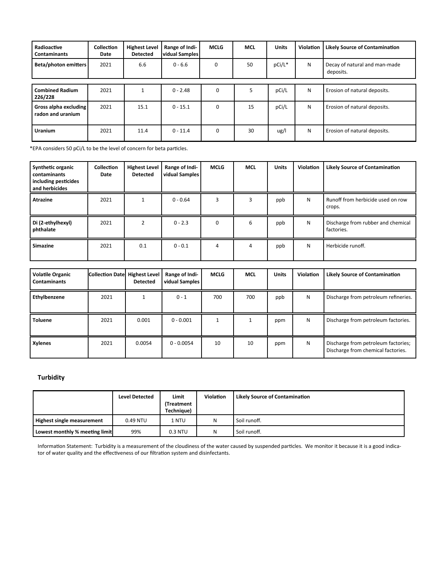| Radioactive<br><b>Contaminants</b>         | <b>Collection</b><br>Date | <b>Highest Level</b><br><b>Detected</b> | Range of Indi-<br>vidual Samples | <b>MCLG</b> | <b>MCL</b> | <b>Units</b> | Violation | <b>Likely Source of Contamination</b>      |
|--------------------------------------------|---------------------------|-----------------------------------------|----------------------------------|-------------|------------|--------------|-----------|--------------------------------------------|
| <b>Beta/photon emitters</b>                | 2021                      | 6.6                                     | $0 - 6.6$                        | $\Omega$    | 50         | pCi/L*       | N         | Decay of natural and man-made<br>deposits. |
| <b>Combined Radium</b><br>226/228          | 2021                      |                                         | $0 - 2.48$                       | 0           | 5          | pCi/L        | N         | Erosion of natural deposits.               |
| Gross alpha excluding<br>radon and uranium | 2021                      | 15.1                                    | $0 - 15.1$                       | 0           | 15         | pCi/L        | N         | Erosion of natural deposits.               |
| <b>Uranium</b>                             | 2021                      | 11.4                                    | $0 - 11.4$                       | 0           | 30         | ug/1         | N         | Erosion of natural deposits.               |

\*EPA considers 50 pCi/L to be the level of concern for beta particles.

| <b>Synthetic organic</b><br>contaminants<br>including pesticides<br>and herbicides | <b>Collection</b><br>Date | <b>Highest Level</b><br><b>Detected</b> | Range of Indi-<br>vidual Samples | <b>MCLG</b> | <b>MCL</b> | <b>Units</b> | Violation | <b>Likely Source of Contamination</b>            |
|------------------------------------------------------------------------------------|---------------------------|-----------------------------------------|----------------------------------|-------------|------------|--------------|-----------|--------------------------------------------------|
| <b>Atrazine</b>                                                                    | 2021                      |                                         | $0 - 0.64$                       | 3           |            | ppb          | N         | Runoff from herbicide used on row<br>crops.      |
| Di (2-ethylhexyl)<br>phthalate                                                     | 2021                      |                                         | $0 - 2.3$                        | 0           | 6          | ppb          | N         | Discharge from rubber and chemical<br>factories. |
| <b>Simazine</b>                                                                    | 2021                      | 0.1                                     | $0 - 0.1$                        | 4           | 4          | ppb          | N         | Herbicide runoff.                                |

| <b>Volatile Organic</b><br><b>Contaminants</b> | <b>Collection Date Highest Level</b> | <b>Detected</b> | Range of Indi-<br>vidual Samples | <b>MCLG</b> | <b>MCL</b> | <b>Units</b> | Violation | <b>Likely Source of Contamination</b>                                     |
|------------------------------------------------|--------------------------------------|-----------------|----------------------------------|-------------|------------|--------------|-----------|---------------------------------------------------------------------------|
| Ethylbenzene                                   | 2021                                 |                 | $0 - 1$                          | 700         | 700        | ppb          | N         | Discharge from petroleum refineries.                                      |
| <b>Toluene</b>                                 | 2021                                 | 0.001           | $0 - 0.001$                      |             |            | ppm          | N         | Discharge from petroleum factories.                                       |
| Xylenes                                        | 2021                                 | 0.0054          | $0 - 0.0054$                     | 10          | 10         | ppm          | N         | Discharge from petroleum factories;<br>Discharge from chemical factories. |

### **Turbidity**

|                                | <b>Level Detected</b> | Limit<br>Treatment)<br>Technique) | <b>Violation</b> | <b>Likely Source of Contamination</b> |
|--------------------------------|-----------------------|-----------------------------------|------------------|---------------------------------------|
| Highest single measurement     | 0.49 NTU              | 1 NTU                             | N                | Soil runoff.                          |
| Lowest monthly % meeting limit | 99%                   | 0.3 NTU                           | N                | Soil runoff.                          |

Information Statement: Turbidity is a measurement of the cloudiness of the water caused by suspended particles. We monitor it because it is a good indicator of water quality and the effectiveness of our filtration system and disinfectants.